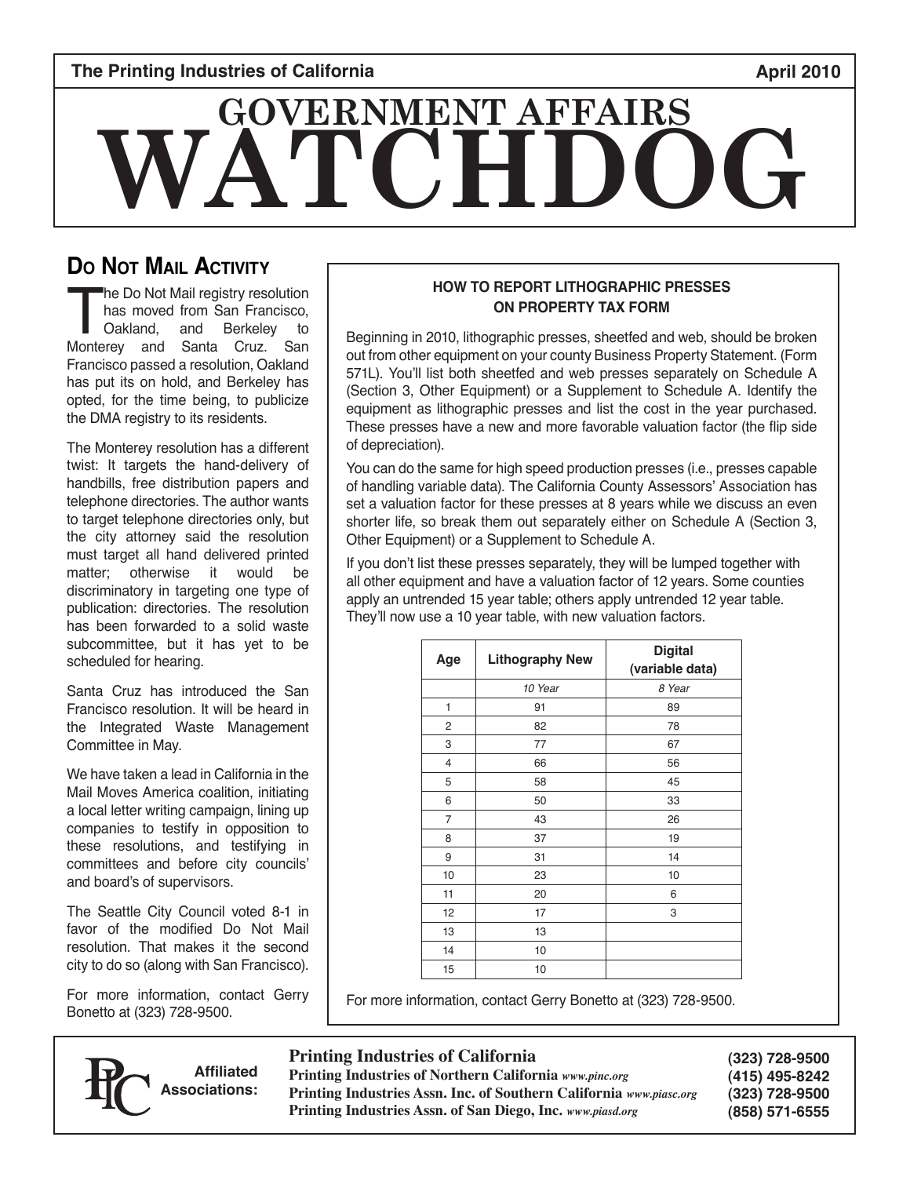### **The Printing Industries of California April 2010 April 2010**

# **WATCHDOG GOVERNMENT AFFAIRS**

# **Do Not Mail Activity**

The Do Not Mail registry resolution<br>has moved from San Francisco,<br>Oakland, and Berkeley to<br>Monterey and Santa Cruz. San has moved from San Francisco, Oakland, and Berkeley to Francisco passed a resolution, Oakland has put its on hold, and Berkeley has opted, for the time being, to publicize the DMA registry to its residents.

The Monterey resolution has a different twist: It targets the hand-delivery of handbills, free distribution papers and telephone directories. The author wants to target telephone directories only, but the city attorney said the resolution must target all hand delivered printed matter; otherwise it would be discriminatory in targeting one type of publication: directories. The resolution has been forwarded to a solid waste subcommittee, but it has yet to be scheduled for hearing.

Santa Cruz has introduced the San Francisco resolution. It will be heard in the Integrated Waste Management Committee in May.

We have taken a lead in California in the Mail Moves America coalition, initiating a local letter writing campaign, lining up companies to testify in opposition to these resolutions, and testifying in committees and before city councils' and board's of supervisors.

The Seattle City Council voted 8-1 in favor of the modified Do Not Mail resolution. That makes it the second city to do so (along with San Francisco).

For more information, contact Gerry Bonetto at (323) 728-9500.

#### 571L). You'll list both sheetfed and web presses separately on Schedule A (Section 3, Other Equipment) or a Supplement to Schedule A. Identify the equipment as lithographic presses and list the cost in the year purchased.

of depreciation).

You can do the same for high speed production presses (i.e., presses capable of handling variable data). The California County Assessors' Association has set a valuation factor for these presses at 8 years while we discuss an even shorter life, so break them out separately either on Schedule A (Section 3, Other Equipment) or a Supplement to Schedule A.

These presses have a new and more favorable valuation factor (the flip side

**HOW TO REPORT LITHOGRAPHIC PRESSES ON PROPERTY TAX FORM** Beginning in 2010, lithographic presses, sheetfed and web, should be broken out from other equipment on your county Business Property Statement. (Form

If you don't list these presses separately, they will be lumped together with all other equipment and have a valuation factor of 12 years. Some counties apply an untrended 15 year table; others apply untrended 12 year table. They'll now use a 10 year table, with new valuation factors.

| Age            | <b>Lithography New</b> | <b>Digital</b><br>(variable data) |
|----------------|------------------------|-----------------------------------|
|                | 10 Year                | 8 Year                            |
| 1              | 91                     | 89                                |
| 2              | 82                     | 78                                |
| 3              | 77                     | 67                                |
| $\overline{4}$ | 66                     | 56                                |
| 5              | 58                     | 45                                |
| 6              | 50                     | 33                                |
| 7              | 43                     | 26                                |
| 8              | 37                     | 19                                |
| 9              | 31                     | 14                                |
| 10             | 23                     | 10                                |
| 11             | 20                     | 6                                 |
| 12             | 17                     | 3                                 |
| 13             | 13                     |                                   |
| 14             | 10                     |                                   |
| 15             | 10                     |                                   |

For more information, contact Gerry Bonetto at (323) 728-9500.

#### **Printing Industries of California**

**Affiliated Associations:**

**Printing Industries of Northern California** *www.pinc.org* **Printing Industries Assn. Inc. of Southern California** *www.piasc.org* **Printing Industries Assn. of San Diego, Inc.** *www.piasd.org*

**(323) 728-9500 (415) 495-8242 (323) 728-9500 (858) 571-6555**